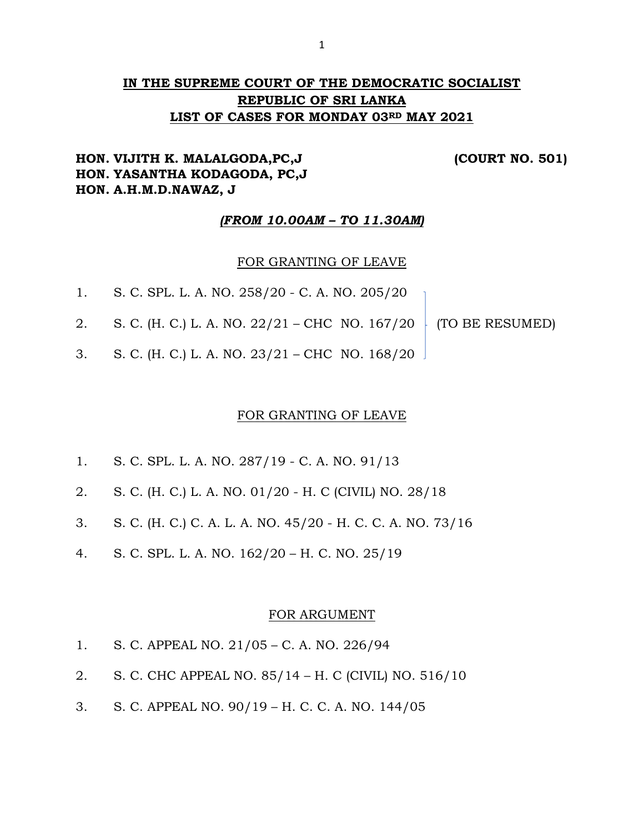# **HON. VIJITH K. MALALGODA,PC,J (COURT NO. 501) HON. YASANTHA KODAGODA, PC,J HON. A.H.M.D.NAWAZ, J**

## *(FROM 10.00AM – TO 11.30AM)*

#### FOR GRANTING OF LEAVE

- 1. S. C. SPL. L. A. NO. 258/20 C. A. NO. 205/20
- 2. S. C. (H. C.) L. A. NO. 22/21 CHC NO. 167/20  $\mid$  (TO BE RESUMED)
- 3. S. C. (H. C.) L. A. NO. 23/21 CHC NO. 168/20

## FOR GRANTING OF LEAVE

- 1. S. C. SPL. L. A. NO. 287/19 C. A. NO. 91/13
- 2. S. C. (H. C.) L. A. NO. 01/20 H. C (CIVIL) NO. 28/18
- 3. S. C. (H. C.) C. A. L. A. NO. 45/20 H. C. C. A. NO. 73/16
- 4. S. C. SPL. L. A. NO. 162/20 H. C. NO. 25/19

#### FOR ARGUMENT

- 1. S. C. APPEAL NO. 21/05 C. A. NO. 226/94
- 2. S. C. CHC APPEAL NO. 85/14 H. C (CIVIL) NO. 516/10
- 3. S. C. APPEAL NO. 90/19 H. C. C. A. NO. 144/05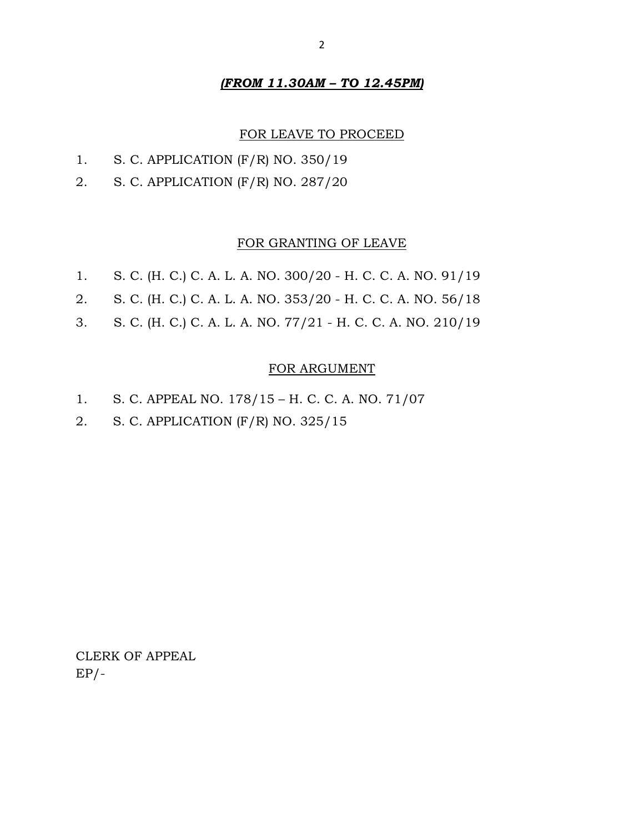# *(FROM 11.30AM – TO 12.45PM)*

# FOR LEAVE TO PROCEED

- 1. S. C. APPLICATION (F/R) NO. 350/19
- 2. S. C. APPLICATION (F/R) NO. 287/20

# FOR GRANTING OF LEAVE

- 1. S. C. (H. C.) C. A. L. A. NO. 300/20 H. C. C. A. NO. 91/19
- 2. S. C. (H. C.) C. A. L. A. NO. 353/20 H. C. C. A. NO. 56/18
- 3. S. C. (H. C.) C. A. L. A. NO. 77/21 H. C. C. A. NO. 210/19

## FOR ARGUMENT

- 1. S. C. APPEAL NO. 178/15 H. C. C. A. NO. 71/07
- 2. S. C. APPLICATION (F/R) NO. 325/15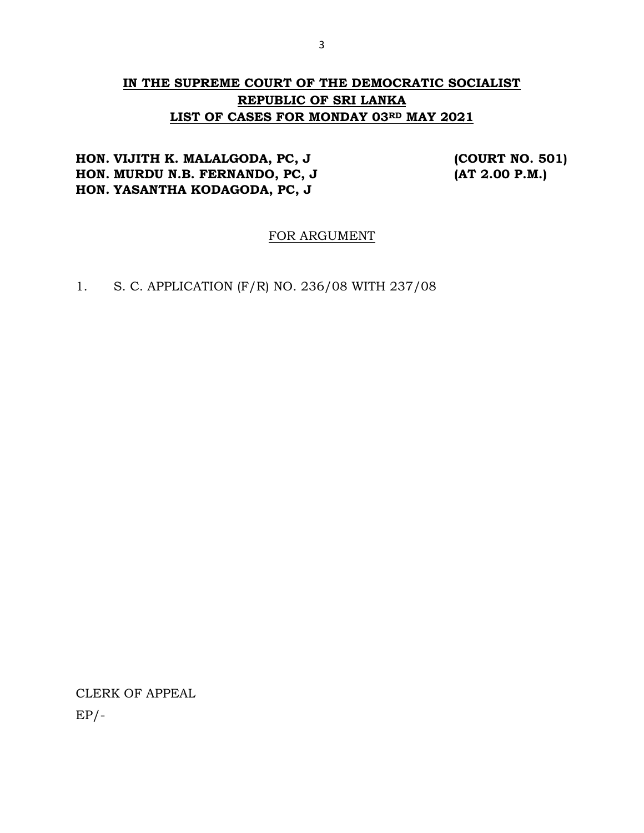# **HON. VIJITH K. MALALGODA, PC, J (COURT NO. 501) HON. MURDU N.B. FERNANDO, PC, J (AT 2.00 P.M.) HON. YASANTHA KODAGODA, PC, J**

FOR ARGUMENT

1. S. C. APPLICATION (F/R) NO. 236/08 WITH 237/08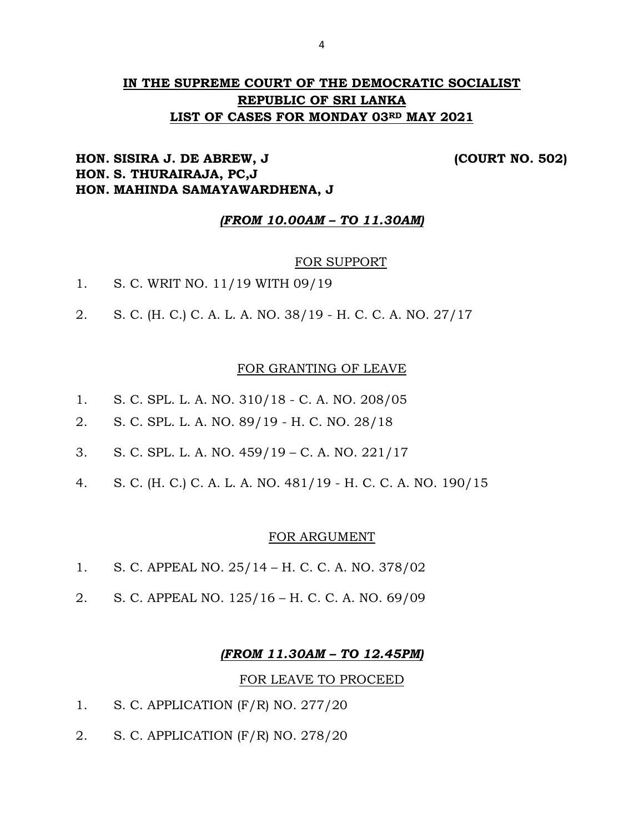# **HON. SISIRA J. DE ABREW, J (COURT NO. 502) HON. S. THURAIRAJA, PC,J HON. MAHINDA SAMAYAWARDHENA, J**

## *(FROM 10.00AM – TO 11.30AM)*

#### FOR SUPPORT

- 1. S. C. WRIT NO. 11/19 WITH 09/19
- 2. S. C. (H. C.) C. A. L. A. NO. 38/19 H. C. C. A. NO. 27/17

#### FOR GRANTING OF LEAVE

- 1. S. C. SPL. L. A. NO. 310/18 C. A. NO. 208/05
- 2. S. C. SPL. L. A. NO. 89/19 H. C. NO. 28/18
- 3. S. C. SPL. L. A. NO. 459/19 C. A. NO. 221/17
- 4. S. C. (H. C.) C. A. L. A. NO. 481/19 H. C. C. A. NO. 190/15

#### FOR ARGUMENT

- 1. S. C. APPEAL NO. 25/14 H. C. C. A. NO. 378/02
- 2. S. C. APPEAL NO. 125/16 H. C. C. A. NO. 69/09

## *(FROM 11.30AM – TO 12.45PM)*

#### FOR LEAVE TO PROCEED

- 1. S. C. APPLICATION (F/R) NO. 277/20
- 2. S. C. APPLICATION (F/R) NO. 278/20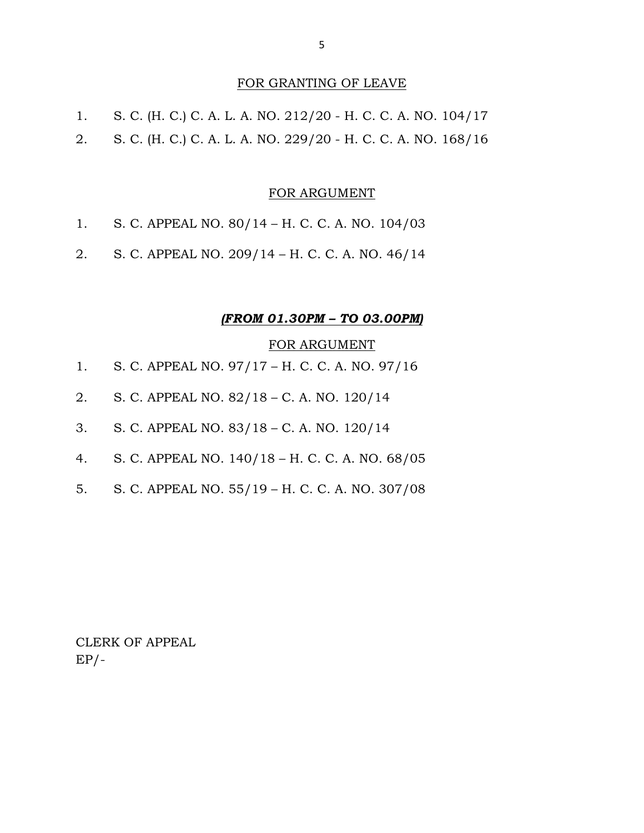## FOR GRANTING OF LEAVE

- 1. S. C. (H. C.) C. A. L. A. NO. 212/20 H. C. C. A. NO. 104/17
- 2. S. C. (H. C.) C. A. L. A. NO. 229/20 H. C. C. A. NO. 168/16

## FOR ARGUMENT

- 1. S. C. APPEAL NO. 80/14 H. C. C. A. NO. 104/03
- 2. S. C. APPEAL NO. 209/14 H. C. C. A. NO. 46/14

## *(FROM 01.30PM – TO 03.00PM)*

#### FOR ARGUMENT

- 1. S. C. APPEAL NO. 97/17 H. C. C. A. NO. 97/16
- 2. S. C. APPEAL NO. 82/18 C. A. NO. 120/14
- 3. S. C. APPEAL NO. 83/18 C. A. NO. 120/14
- 4. S. C. APPEAL NO. 140/18 H. C. C. A. NO. 68/05
- 5. S. C. APPEAL NO. 55/19 H. C. C. A. NO. 307/08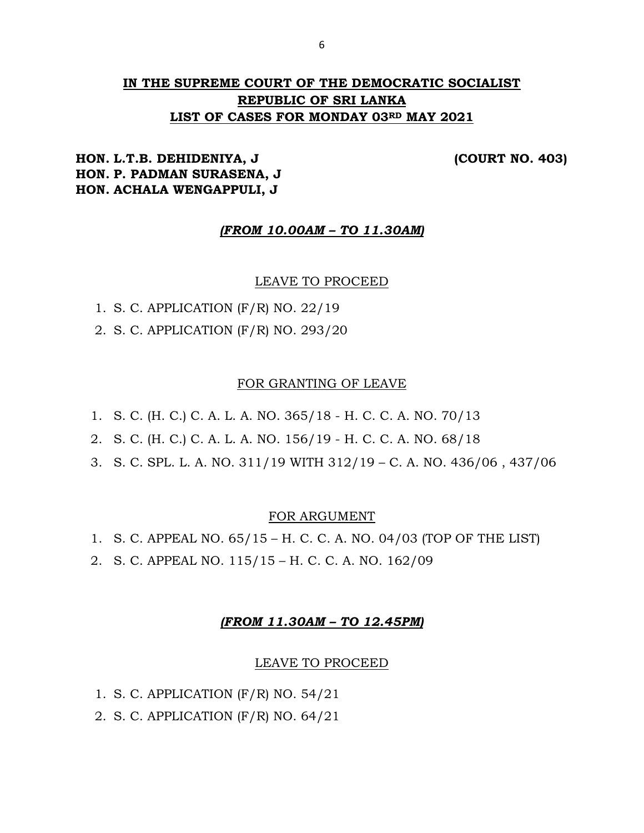# **HON. L.T.B. DEHIDENIYA, J (COURT NO. 403) HON. P. PADMAN SURASENA, J HON. ACHALA WENGAPPULI, J**

## *(FROM 10.00AM – TO 11.30AM)*

## LEAVE TO PROCEED

- 1. S. C. APPLICATION (F/R) NO. 22/19
- 2. S. C. APPLICATION (F/R) NO. 293/20

#### FOR GRANTING OF LEAVE

- 1. S. C. (H. C.) C. A. L. A. NO. 365/18 H. C. C. A. NO. 70/13
- 2. S. C. (H. C.) C. A. L. A. NO. 156/19 H. C. C. A. NO. 68/18
- 3. S. C. SPL. L. A. NO. 311/19 WITH 312/19 C. A. NO. 436/06 , 437/06

#### FOR ARGUMENT

- 1. S. C. APPEAL NO. 65/15 H. C. C. A. NO. 04/03 (TOP OF THE LIST)
- 2. S. C. APPEAL NO. 115/15 H. C. C. A. NO. 162/09

#### *(FROM 11.30AM – TO 12.45PM)*

#### LEAVE TO PROCEED

- 1. S. C. APPLICATION (F/R) NO. 54/21
- 2. S. C. APPLICATION (F/R) NO. 64/21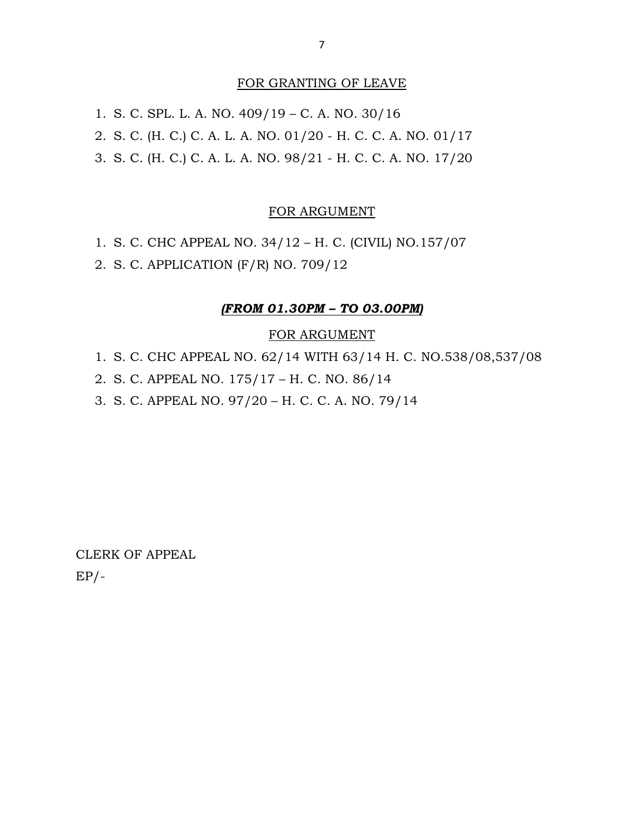## FOR GRANTING OF LEAVE

1. S. C. SPL. L. A. NO. 409/19 – C. A. NO. 30/16 2. S. C. (H. C.) C. A. L. A. NO. 01/20 - H. C. C. A. NO. 01/17 3. S. C. (H. C.) C. A. L. A. NO. 98/21 - H. C. C. A. NO. 17/20

## FOR ARGUMENT

1. S. C. CHC APPEAL NO. 34/12 – H. C. (CIVIL) NO.157/07 2. S. C. APPLICATION (F/R) NO. 709/12

## *(FROM 01.30PM – TO 03.00PM)*

## FOR ARGUMENT

1. S. C. CHC APPEAL NO. 62/14 WITH 63/14 H. C. NO.538/08,537/08

2. S. C. APPEAL NO. 175/17 – H. C. NO. 86/14

3. S. C. APPEAL NO. 97/20 – H. C. C. A. NO. 79/14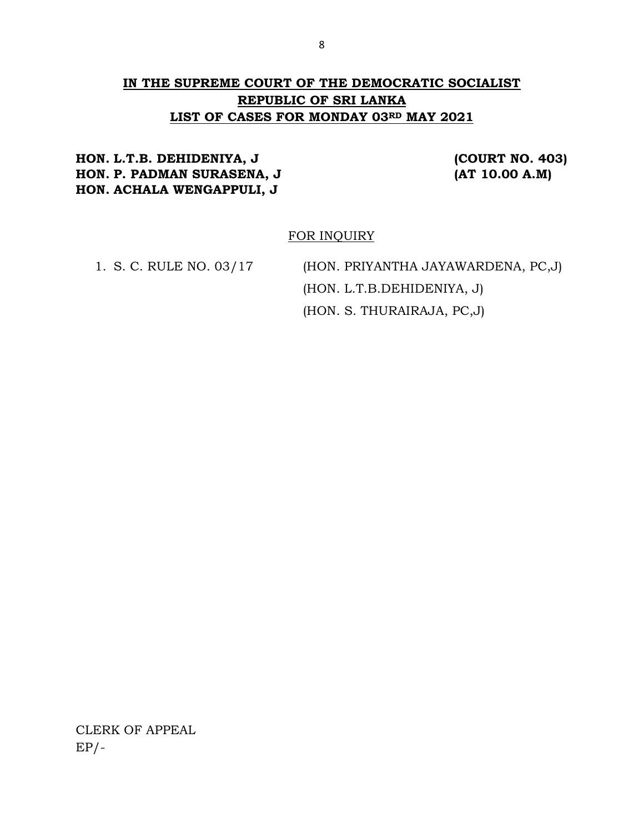# **HON. L.T.B. DEHIDENIYA, J (COURT NO. 403) HON. P. PADMAN SURASENA, J (AT 10.00 A.M) HON. ACHALA WENGAPPULI, J**

# FOR INQUIRY

1. S. C. RULE NO. 03/17 (HON. PRIYANTHA JAYAWARDENA, PC,J) (HON. L.T.B.DEHIDENIYA, J) (HON. S. THURAIRAJA, PC,J)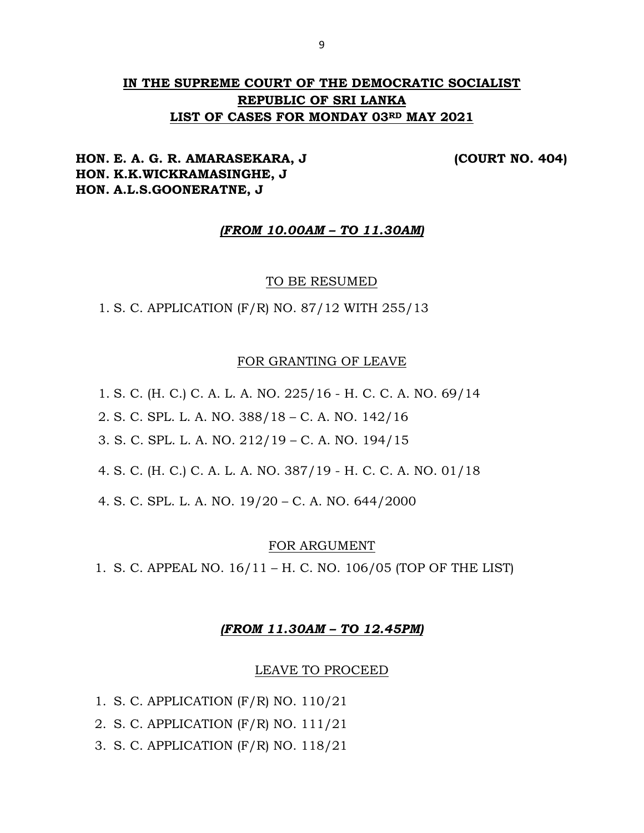# **HON. E. A. G. R. AMARASEKARA, J (COURT NO. 404) HON. K.K.WICKRAMASINGHE, J HON. A.L.S.GOONERATNE, J**

## *(FROM 10.00AM – TO 11.30AM)*

#### TO BE RESUMED

1. S. C. APPLICATION (F/R) NO. 87/12 WITH 255/13

#### FOR GRANTING OF LEAVE

1. S. C. (H. C.) C. A. L. A. NO. 225/16 - H. C. C. A. NO. 69/14

2. S. C. SPL. L. A. NO. 388/18 – C. A. NO. 142/16

3. S. C. SPL. L. A. NO. 212/19 – C. A. NO. 194/15

4. S. C. (H. C.) C. A. L. A. NO. 387/19 - H. C. C. A. NO. 01/18

4. S. C. SPL. L. A. NO. 19/20 – C. A. NO. 644/2000

#### FOR ARGUMENT

1. S. C. APPEAL NO. 16/11 – H. C. NO. 106/05 (TOP OF THE LIST)

#### *(FROM 11.30AM – TO 12.45PM)*

#### LEAVE TO PROCEED

1. S. C. APPLICATION (F/R) NO. 110/21

2. S. C. APPLICATION (F/R) NO. 111/21

3. S. C. APPLICATION (F/R) NO. 118/21